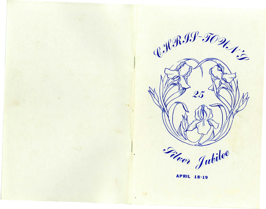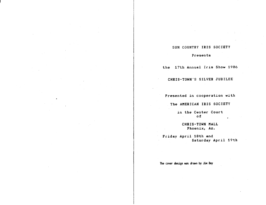# SUN COUNTRY IRIS SOCIETY

# Presents

the 17th Annual Iris Show 1986

CHRIS-TOWN'S SILVER JUBILEE

Presented in cooperation with

The AMERICAN IRIS SOCIETY

in the Center Court of

CHRIS-TOWN MALL Phoenix, *Az..* 

Friday April 18th and Saturday April 19th

The cover design was drawn by Jim Day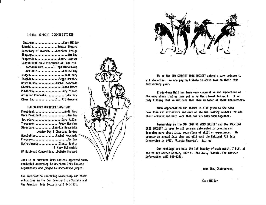# 1986 SHOW COMMITTEE

| ChairmanGary Miller                    |
|----------------------------------------|
| ScheduleBobbie Shepard                 |
| Secretary of AwardsCharlene Errigo     |
| StagingJim Day                         |
| PropertiesLarry Johnsen                |
| Classification & Placement of Entries: |
| HorticultureFloyd Wickenkamp           |
| ArtisticLouise Day                     |
| Judges Ardi Kary                       |
| TrophiesPeggy Morphew                  |
| HospitalityRachel Meschede             |
| ClerksDonna Mosca                      |
| PublicityGary Miller                   |
| Artistic ConceptsEdna Try              |
| Clean UpAll Members                    |

SUN COUNTRY OFFICERS 1985-1986

| PresidentArdi Kary                   |                              |
|--------------------------------------|------------------------------|
| Vice PresidentJim Day                |                              |
| SecretaryGary Miller                 |                              |
| TreasurerPeggy Morphew               |                              |
| DirectorsCharlie Hendricks           |                              |
|                                      | Louise Day & Charlene Errigo |
| NewsletterRachel Meschede            |                              |
| ProgramsJim Day                      |                              |
| RefreshmentsGloria Beatty            |                              |
|                                      | & Mary McCormick             |
| 87 National ConventionBobbie Shepard |                              |

This is an American Iris Society approved show, conducted according to American Iris Society regulations and judged by accredited judges.

For information concering membership and other activities in the Sun Country Iris Society and the American Iris Society call 841-1231.





We of the SUN COUNTRY IRIS SOCIETY extend a warm welcome to all who enter. We are paying tribute to Chris-town on their 25th Anniversary year.

Chris-town Hall has been very cooperative and supportive of the many shows that we have put on in their beautiful mall. It is only fitting that we dedicate this show in honor of their anniversary.

Much appreciation and thanks is also given to the show conmittee and exhibitors and each of the Sun Country members for all' their efforts and hard work that has put this show together.

Membership in the SUN COUNTRY IRIS SOCIETY and the AMERICAN IRIS SOCIETY is open to all persons interested in growing and learning more about iris, regardless of skill or experience. We sponsor an annual iris show and will host the National AIS Iris Convention in 1987, "Fiesta Phoenix". Join us!

Our meetings are held the 1st Tuesday of each month, 7 P.M. at the Valley Garden Center, 1809 N. 15th Ave., Phoenix. For further information call 841-1231.

*Your* 5hov Chairperson,

*Gary* Hiller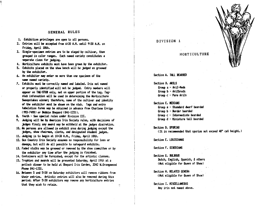## GENERAL RULES

1. Exhibition privileges are open to all persons.

'1

- 2. Entries will be accepted from 6:30 A.H. until 9:30 A.H. on Friday, April 18th.
- 3. Single-specimen entries are to be staged by cultivar, then grouped in color ranges. Each named variety constitutes a separate class for judging.
- 4. Horticulture exhibits must have been grown by the exhibitor.
- 5. Exhibits placed on the show bench will be judged as groomed by the exhibitor.
- 6. An exhibitor may enter no more than one specimen of the same named variety.
- 7. Exhibits must be correctly named and labeled. Iris not named or properly identified will not be judged. Entry numbers will appear on TAG-STUB only, not on upper portion of the tag. Tagstub information will be used in determining the Horticulture Sweepstakes winner; therefore, name of the cultivar and identity of the exhibitor must be shown on the stub. Tags and entry tabulation forms way be obtained in advance from Charlene Errigo (993-7498) or Bobbie Shepard (841-1231).
- B. Youth See special rules under Diyision III.
- 9. Judging will be by American Iris Society rules, with decisions of judges final; any award may be withheld at the judges discretion.
- 10. No persons are allowed in exhibit area during judging except the judges, show chairman, clerks, and designated student judges.
- 11. Judging is to begin at 10:30 A.H., Friday, April 18th.
- 12. Sun Country Iris Society assumes no responsibility for loss or damage, but will do all possible to safeguard exhibits.
- 13. Faded stalks way be groowed or rewoved by the show conwittee or by the exhibitor any time after the judging is finished.
- 14. Containers will be furnished, except for the artistic classes.
- 15. Trophies and awards will be presented Saturday, April 19th at a potluck dinner to be held at Shepard Iris Garden, 3342 W.Orangewood Phone 841-1231.
- 16. Between 5 and 5:30 on Saturday exhibitors will remove ribbons from their entries. Artistic entries will also be removed during this period. After 5:30 exhibitors may remove any horticulture entries that they wish to retain.

### DIVISION 1

HORTICULTURE

Section A. TAlL BEAROCD

Section B. MILS Group a - Aril-Heds Group b - Arilbreds Group c - Pure Arils

Section C. HEDIANS

- Group a Standard dwarf bearded
- Group b Border bearded
- Group  $c -$  Intermediate bearded
- Group d Miniature tall bearded

Section D. SPURIAS

(It is recommended that spurias not exceed  $48"$  cut height.)

Section E. LOUISIAHAS

Section F. SIBERIANS

Section G. BULBOUS Dutch, English, Spanish, a others (Not eligible for Queen of Show)

Section H. R£LATED GEHERA (Hot eligible for Queen of Show)

Section I. MISCELLANEOUS Any iris not named above.

 $\tau_{\rm g}$ 

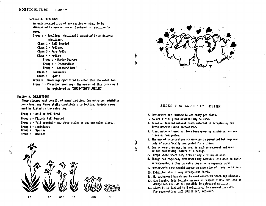# HORTICULTURE Con't

#### Section J. SEEDLIHGS

An unintroduced iris of any section or kind, to be designated by name or number & entered in hybridizer's naMa

Group a - Seedlings hybridized & exhibited by an Arizona hybridizer.

Class 1 - Tall *Bearded* 

- Class 2 Arilbred
- Class 3 Pure Arils
- Class 4 Medians
	- Group a Border Bearded
	- Group  $b$  Intermediate
	- Group c Standard Dwarf
- Class 5 Louisianas

Class 6 - Spuria

Croup b - Seedlings hybridized by other than the exhibitor.

Group  $c$  - Christown seedling - The winner of this group will be reqistered as "CHRIS-TOWN'S JUBILEE"

#### Section K. COLLECTIONS

These classes must consist of named varities. One entry per exhibitor per class. Any three stalks constitute a collection. Variety names must be listed on the entry tag.

Group a - Aril or Aril-bred

- Group b Plicata tall bearded
- Group c Tall bearded any three stalks of anyone color class.
- Group d Louisianas
- Group e Spurias
- Group  $f -$  Medians

,.

ž.





# RULES FOR ARTISTIC DESIGN

- 1. Exhibitors are limited to one entry per class.
- 2. No artificial plant material may be used.

d

- 3. Bried or treated natural plant material is acceptable, but fresh material must predominate.
- 4. Plant material need not have been grown by exhibitor, unless class so designates.
- 5. The use of interpretive accessories is permitted but required only if specifically designated for a class.
- 6. One or more iris must be used in each arrangement and must be the dominating feature of a design.
- 7. Except where specified, iris of any kind may be used.
- 8. Though not required, exhibitors may identify iris used in their arrangements, either on entry tag or on a separate card.

 $\mathcal{L}$ 

- 9. Exhibitor's name should appear on underside of their container.
- 10. Exhibitor should keep arrangement fresh.
- 11. No background boards may be used except in specified classes.
- 12. Sun Country Iris Society assumes no responsibility for loss or damage but will do all possible to safeguard exhibits.
- 13. Class #1 is limited to 8 exhibitors, by reservation only. For reservations call LOUISE DAY, 942-4922.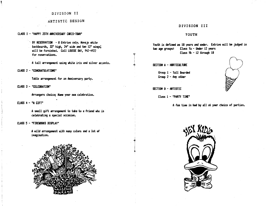## DIVISION II

### ARTISTIC DESIGN

CLASS 1 - "HAPPY 25TH ANNIVERSARY CHRIS-TOHN"

 $BY$  RESERVATION  $-8$  Entries only. Navajo white backboards, 32" high, 24" wide and two 12" wings; will be furnished. call LOUISE DAY, 942-4922 for reservations.

A tall arrangement using white iris and silver accents.

CLASS 2 - "COHGRATlLATIOHS"

Table arrangement for an Anniversary party.

CLASS 3 - "CELEBRATION"

Arrangers choice; Name your own celebration.

CLASS 4 - "A GIFT"

A small gift arrangement to take to a friend who is celebrating a special occasion.

CLASS 5 - "FIREWORKS DISPlAY"

A wild arrangement with many colors and a lot of imagination.



# DIVISION III

# YOUTH

Youth is defined &s 18 years and under. Entries will be judged in two age groups: Class fa - Under 12 years Class Vb - 12 through 18

SECTION A - HORTICULTURE

Group 1 - Tall Bearded Croup 2 - Any other

SECTION B - ARTISTIC

 $\frac{1}{2}$ 

 $Class 1 - "PARTY TIHE"$ 

A fun time is had by all at your choice of parties.



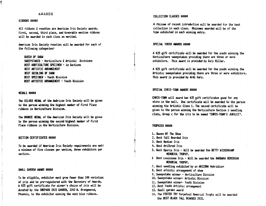## AWARDS

### RIBBONS \*\*\*\*\*

All ribbons & rosettes are American Iris Society awards. First, second, third place, and honorable mention ribbons will be awarded in each class as werited.

AMerican Iris Society rosettes will be awarded for each of the following categories:

### QUEEN OF SHOW

SWEEPSTAKES - Horticulture & Artistic Divisions BEST HORTICULTURE SPECIMEN - in Sections BEST ARTISTIC ARRAHGEHEHT BEST SEEDLING OF SHOW BEST SPECIMEN - Youth Division BEST ARTISTIC ARRANGEMENT - Youth Division

#### **HEDALS XXXXX**

The SILUER HEJAl of the AMerican Iris Society will be given to the person winning the highest number of First Place ribbons in Horticulture Division.

The BRONZE MEDAl of the AMerican Iris Society will be given to the person winning the second highest number of First Place ribbons in the Horticulture Division.

#### SECTION CERTIFICATES \*\*\*\*\*

To be awarded if American Iris Society requirements are met: a minimum of five classes per section, three exhibitors per section.

### SHALL GARDEN AWARD #####

To be eligible, exhibitor NUst grov·fewer than *100* varieties of iris and be pre-registered with the Secretary of Awards. A S2S gift certificate for winner's choice of iris will be donated by the SHEPARD IRIS GARDEN, 3342 W. Orangewood, Phoenix, to the exhibitor winning the most blue ribbons.

#### COLLECTION CLASSES #####

A rhizome of recent introduction will be awarded for the best collection in each class. Rhizomes awarded will be of the type exhibited in each winning entry.

#### SPECIAL YOUTH AWARDS \*\*\*\*\*

 $\overline{\mathbf{r}}$ 

 $\mathbf{I}$ 

 $\begin{matrix} \downarrow \\ \downarrow \\ \downarrow \end{matrix}$ 

A \$25 gift certificate will be awarded for the youth winning the Horticulture sweepstakes providing there are three or more exhibitors. This award is provided by Gary Miller.

A S2S gift certificate will be awarded for the youth winning the Artistic sweepstakes providing there are three or more exhibitors. This award is provided by Ardi Kary.

#### SPECIAL CHRIS-TOWN AWARDS \*\*\*\*\*

CHRIS-TOWN will award two S2S gift certificates good for any store in the mall. One certificate will be awarded to the person winning the Artistic Class 1. The second certificate will be given to the person winning the Horticulture Section J seedling class, Group c for the iris to be named "CHRIS-TOWN'S JUBILEE".

### TROPHIES \*\*\*\*\*

- 1. Queen Of The Show
- 2. Best Tall Bearded Iris
- 3. Best Median Iris
- 4. Best Arilbred Iris
- S. Best Spuria Iris Will be awarded the BETTY WICKENKAHP MEMORIAL TROPHY.
- 6 Best Louisiana Iris Will be awarded the BARBARA DEREMIAH MEMORIAl TROPHY.
- 7. Best seedling exhibited by an ARIZONA *Hybridizer*
- 8. Best artistic arrangement of show
- 9. Sweepstake winner Horticulture Division
- *10.* Sweepstake winner- Artistic Division
- 11. Sweepstake winner- youth Division
- 12. Best Youth Artistic arrangement
- 13. Small garden award
- 14. The FOSTER TRY Perpetual Memorial Trophy will be awarded the BEST BLACK TAll BEARDED IRIS.